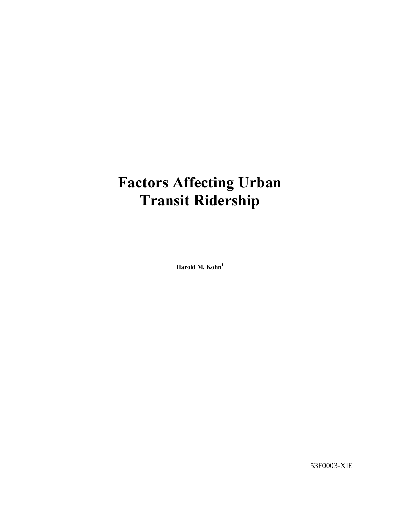# Factors Affecting Urban Transit Ridership

Harold M.  $Kohn<sup>1</sup>$ 

53F0003-XIE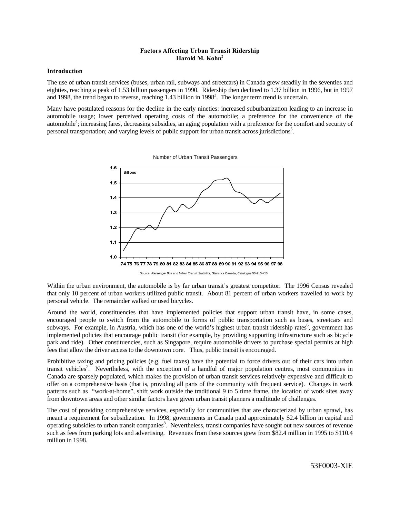## Factors Affecting Urban Transit Ridership Harold M. Kohn $<sup>2</sup>$ </sup>

## Introduction

The use of urban transit services (buses, urban rail, subways and streetcars) in Canada grew steadily in the seventies and eighties, reaching a peak of 1.53 billion passengers in 1990. Ridership then declined to 1.37 billion in 1996, but in 1997 and 1998, the trend began to reverse, reaching  $1.43$  billion in 1998<sup>3</sup>. The longer term trend is uncertain.

Many have postulated reasons for the decline in the early nineties: increased suburbanization leading to an increase in automobile usage; lower perceived operating costs of the automobile; a preference for the convenience of the automobile<sup>4</sup>; increasing fares, decreasing subsidies, an aging population with a preference for the comfort and security of personal transportation; and varying levels of public support for urban transit across jurisdictions<sup>5</sup>.



Number of Urban Transit Passengers

Source: Passenger Bus and Urban Transit Statistics, Statistics Canada, Catalogue 53-215-XIB

Within the urban environment, the automobile is by far urban transit's greatest competitor. The 1996 Census revealed that only 10 percent of urban workers utilized public transit. About 81 percent of urban workers travelled to work by personal vehicle. The remainder walked or used bicycles.

Around the world, constituencies that have implemented policies that support urban transit have, in some cases, encouraged people to switch from the automobile to forms of public transportation such as buses, streetcars and subways. For example, in Austria, which has one of the world's highest urban transit ridership rates<sup>6</sup>, government has implemented policies that encourage public transit (for example, by providing supporting infrastructure such as bicycle park and ride). Other constituencies, such as Singapore, require automobile drivers to purchase special permits at high fees that allow the driver access to the downtown core. Thus, public transit is encouraged.

Prohibitive taxing and pricing policies (e.g. fuel taxes) have the potential to force drivers out of their cars into urban transit vehicles<sup>7</sup>. Nevertheless, with the exception of a handful of major population centres, most communities in Canada are sparsely populated, which makes the provision of urban transit services relatively expensive and difficult to offer on a comprehensive basis (that is, providing all parts of the community with frequent service). Changes in work patterns such as "work-at-home", shift work outside the traditional 9 to 5 time frame, the location of work sites away from downtown areas and other similar factors have given urban transit planners a multitude of challenges.

The cost of providing comprehensive services, especially for communities that are characterized by urban sprawl, has meant a requirement for subsidization. In 1998, governments in Canada paid approximately \$2.4 billion in capital and operating subsidies to urban transit companies<sup>8</sup>. Nevertheless, transit companies have sought out new sources of revenue such as fees from parking lots and advertising. Revenues from these sources grew from \$82.4 million in 1995 to \$110.4 million in 1998.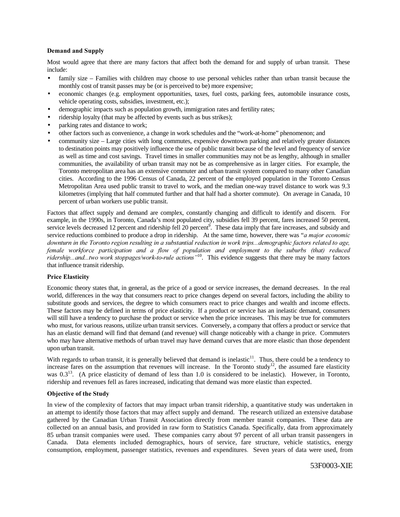## Demand and Supply

Most would agree that there are many factors that affect both the demand for and supply of urban transit. These include:

- family size Families with children may choose to use personal vehicles rather than urban transit because the monthly cost of transit passes may be (or is perceived to be) more expensive;
- economic changes (e.g. employment opportunities, taxes, fuel costs, parking fees, automobile insurance costs, vehicle operating costs, subsidies, investment, etc.);
- demographic impacts such as population growth, immigration rates and fertility rates;
- ridership loyalty (that may be affected by events such as bus strikes);
- parking rates and distance to work;
- other factors such as convenience, a change in work schedules and the "work-at-home" phenomenon; and
- community size Large cities with long commutes, expensive downtown parking and relatively greater distances to destination points may positively influence the use of public transit because of the level and frequency of service as well as time and cost savings. Travel times in smaller communities may not be as lengthy, although in smaller communities, the availability of urban transit may not be as comprehensive as in larger cities. For example, the Toronto metropolitan area has an extensive commuter and urban transit system compared to many other Canadian cities. According to the 1996 Census of Canada, 22 percent of the employed population in the Toronto Census Metropolitan Area used public transit to travel to work, and the median one-way travel distance to work was 9.3 kilometres (implying that half commuted further and that half had a shorter commute). On average in Canada, 10 percent of urban workers use public transit.

Factors that affect supply and demand are complex, constantly changing and difficult to identify and discern. For example, in the 1990s, in Toronto, Canada's most populated city, subsidies fell 39 percent, fares increased 50 percent, service levels decreased 12 percent and ridership fell 20 percent<sup>9</sup>. These data imply that fare increases, and subsidy and service reductions combined to produce a drop in ridership. At the same time, however, there was "*a major economic* downturn in the Toronto region resulting in a substantial reduction in work trips...demographic factors related to age, *female workforce participation and a flow of population and employment to the suburbs (that) reduced ridership...and...two work stoppages/work-to-rule actions*<sup>710</sup>. This evidence suggests that there may be many factors that influence transit ridership.

### **Price Elasticity**

Economic theory states that, in general, as the price of a good or service increases, the demand decreases. In the real world, differences in the way that consumers react to price changes depend on several factors, including the ability to substitute goods and services, the degree to which consumers react to price changes and wealth and income effects. These factors may be defined in terms of price elasticity. If a product or service has an inelastic demand, consumers will still have a tendency to purchase the product or service when the price increases. This may be true for commuters who must, for various reasons, utilize urban transit services. Conversely, a company that offers a product or service that has an elastic demand will find that demand (and revenue) will change noticeably with a change in price. Commuters who may have alternative methods of urban travel may have demand curves that are more elastic than those dependent upon urban transit.

With regards to urban transit, it is generally believed that demand is inelastic<sup>11</sup>. Thus, there could be a tendency to increase fares on the assumption that revenues will increase. In the Toronto study<sup>12</sup>, the assumed fare elasticity was 0.3<sup>13</sup>. (A price elasticity of demand of less than 1.0 is considered to be inelastic). However, in Toronto, ridership and revenues fell as fares increased, indicating that demand was more elastic than expected.

## Objective of the Study

In view of the complexity of factors that may impact urban transit ridership, a quantitative study was undertaken in an attempt to identify those factors that may affect supply and demand. The research utilized an extensive database gathered by the Canadian Urban Transit Association directly from member transit companies. These data are collected on an annual basis, and provided in raw form to Statistics Canada. Specifically, data from approximately 85 urban transit companies were used. These companies carry about 97 percent of all urban transit passengers in Canada. Data elements included demographics, hours of service, fare structure, vehicle statistics, energy consumption, employment, passenger statistics, revenues and expenditures. Seven years of data were used, from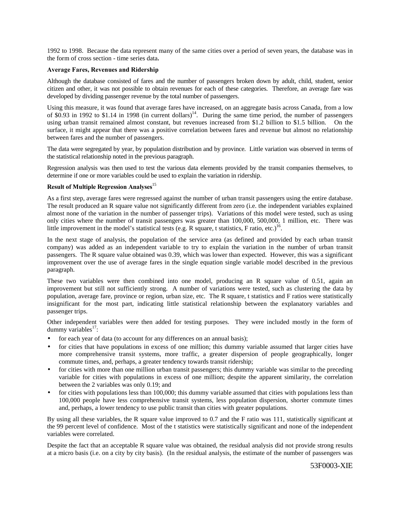1992 to 1998. Because the data represent many of the same cities over a period of seven years, the database was in the form of cross section - time series data

## Average Fares, Revenues and Ridership

Although the database consisted of fares and the number of passengers broken down by adult, child, student, senior citizen and other, it was not possible to obtain revenues for each of these categories. Therefore, an average fare was developed by dividing passenger revenue by the total number of passengers.

Using this measure, it was found that average fares have increased, on an aggregate basis across Canada, from a low of \$0.93 in 1992 to \$1.14 in 1998 (in current dollars)<sup>14</sup>. During the same time period, the number of passengers using urban transit remained almost constant, but revenues increased from \$1.2 billion to \$1.5 billion. On the surface, it might appear that there was a positive correlation between fares and revenue but almost no relationship between fares and the number of passengers.

The data were segregated by year, by population distribution and by province. Little variation was observed in terms of the statistical relationship noted in the previous paragraph.

Regression analysis was then used to test the various data elements provided by the transit companies themselves, to determine if one or more variables could be used to explain the variation in ridership.

## Result of Multiple Regression Analyses<sup>15</sup>

As a first step, average fares were regressed against the number of urban transit passengers using the entire database. The result produced an R square value not significantly different from zero (i.e. the independent variables explained almost none of the variation in the number of passenger trips). Variations of this model were tested, such as using only cities where the number of transit passengers was greater than 100,000, 500,000, 1 million, etc. There was little improvement in the model's statistical tests (e.g. R square, t statistics, F ratio, etc.)<sup>16</sup>.

In the next stage of analysis, the population of the service area (as defined and provided by each urban transit company) was added as an independent variable to try to explain the variation in the number of urban transit passengers. The R square value obtained was 0.39, which was lower than expected. However, this was a significant improvement over the use of average fares in the single equation single variable model described in the previous paragraph.

These two variables were then combined into one model, producing an R square value of 0.51, again an improvement but still not sufficiently strong. A number of variations were tested, such as clustering the data by population, average fare, province or region, urban size, etc. The R square, t statistics and F ratios were statistically insignificant for the most part, indicating little statistical relationship between the explanatory variables and passenger trips.

Other independent variables were then added for testing purposes. They were included mostly in the form of dummy variables<sup>17</sup>:

- for each year of data (to account for any differences on an annual basis);
- for cities that have populations in excess of one million; this dummy variable assumed that larger cities have more comprehensive transit systems, more traffic, a greater dispersion of people geographically, longer commute times, and, perhaps, a greater tendency towards transit ridership;
- for cities with more than one million urban transit passengers; this dummy variable was similar to the preceding variable for cities with populations in excess of one million; despite the apparent similarity, the correlation between the 2 variables was only 0.19; and
- for cities with populations less than 100,000; this dummy variable assumed that cities with populations less than 100,000 people have less comprehensive transit systems, less population dispersion, shorter commute times and, perhaps, a lower tendency to use public transit than cities with greater populations.

By using all these variables, the R square value improved to 0.7 and the F ratio was 111, statistically significant at the 99 percent level of confidence. Most of the t statistics were statistically significant and none of the independent variables were correlated.

Despite the fact that an acceptable R square value was obtained, the residual analysis did not provide strong results at a micro basis (i.e. on a city by city basis). (In the residual analysis, the estimate of the number of passengers was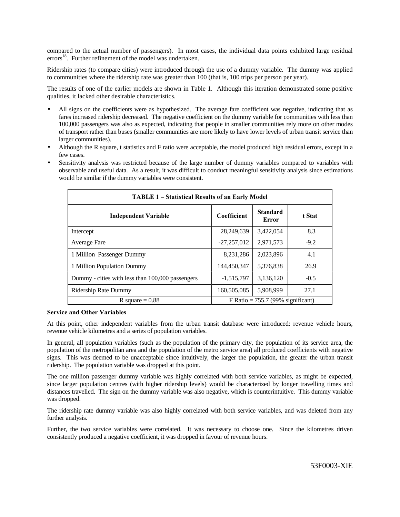compared to the actual number of passengers). In most cases, the individual data points exhibited large residual errors<sup>18</sup>. Further refinement of the model was undertaken.

Ridership rates (to compare cities) were introduced through the use of a dummy variable. The dummy was applied to communities where the ridership rate was greater than 100 (that is, 100 trips per person per year).

The results of one of the earlier models are shown in Table 1. Although this iteration demonstrated some positive qualities, it lacked other desirable characteristics.

- All signs on the coefficients were as hypothesized. The average fare coefficient was negative, indicating that as fares increased ridership decreased. The negative coefficient on the dummy variable for communities with less than 100,000 passengers was also as expected, indicating that people in smaller communities rely more on other modes of transport rather than buses (smaller communities are more likely to have lower levels of urban transit service than larger communities).
- Although the R square, t statistics and F ratio were acceptable, the model produced high residual errors, except in a few cases.
- Sensitivity analysis was restricted because of the large number of dummy variables compared to variables with observable and useful data. As a result, it was difficult to conduct meaningful sensitivity analysis since estimations would be similar if the dummy variables were consistent.

| <b>TABLE 1 – Statistical Results of an Early Model</b> |                    |                                     |        |
|--------------------------------------------------------|--------------------|-------------------------------------|--------|
| <b>Independent Variable</b>                            | <b>Coefficient</b> | <b>Standard</b><br>Error            | t Stat |
| Intercept                                              | 28,249,639         | 3,422,054                           | 8.3    |
| Average Fare                                           | $-27,257,012$      | 2,971,573                           | $-9.2$ |
| 1 Million Passenger Dummy                              | 8,231,286          | 2,023,896                           | 4.1    |
| 1 Million Population Dummy                             | 144.450.347        | 5.376.838                           | 26.9   |
| Dummy - cities with less than 100,000 passengers       | $-1,515,797$       | 3,136,120                           | $-0.5$ |
| Ridership Rate Dummy                                   | 160,505,085        | 5,908,999                           | 27.1   |
| R square $= 0.88$                                      |                    | F Ratio = $755.7$ (99% significant) |        |

### **Service and Other Variables**

At this point, other independent variables from the urban transit database were introduced: revenue vehicle hours, revenue vehicle kilometres and a series of population variables.

In general, all population variables (such as the population of the primary city, the population of its service area, the population of the metropolitan area and the population of the metro service area) all produced coefficients with negative signs. This was deemed to be unacceptable since intuitively, the larger the population, the greater the urban transit ridership. The population variable was dropped at this point.

The one million passenger dummy variable was highly correlated with both service variables, as might be expected, since larger population centres (with higher ridership levels) would be characterized by longer travelling times and distances travelled. The sign on the dummy variable was also negative, which is counterintuitive. This dummy variable was dropped.

The ridership rate dummy variable was also highly correlated with both service variables, and was deleted from any further analysis.

Further, the two service variables were correlated. It was necessary to choose one. Since the kilometres driven consistently produced a negative coefficient, it was dropped in favour of revenue hours.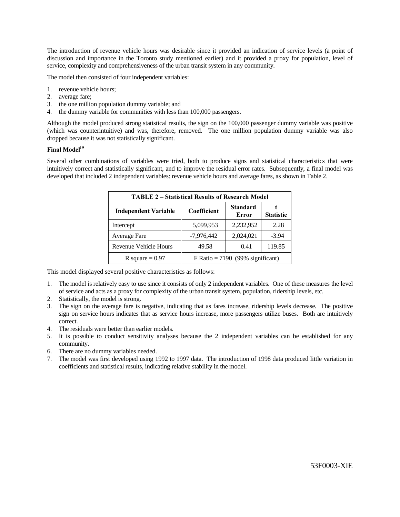The introduction of revenue vehicle hours was desirable since it provided an indication of service levels (a point of discussion and importance in the Toronto study mentioned earlier) and it provided a proxy for population, level of service, complexity and comprehensiveness of the urban transit system in any community.

The model then consisted of four independent variables:

- 1. revenue vehicle hours;
- 2. average fare;
- 3. the one million population dummy variable; and
- 4. the dummy variable for communities with less than 100,000 passengers.

Although the model produced strong statistical results, the sign on the 100,000 passenger dummy variable was positive (which was counterintuitive) and was, therefore, removed. The one million population dummy variable was also dropped because it was not statistically significant.

## Final Model<sup>19</sup>

Several other combinations of variables were tried, both to produce signs and statistical characteristics that were intuitively correct and statistically significant, and to improve the residual error rates. Subsequently, a final model was developed that included 2 independent variables: revenue vehicle hours and average fares, as shown in Table 2.

| <b>TABLE 2 – Statistical Results of Research Model</b> |                                    |                          |                  |  |  |  |
|--------------------------------------------------------|------------------------------------|--------------------------|------------------|--|--|--|
| <b>Independent Variable</b>                            | Coefficient                        | <b>Standard</b><br>Error | <b>Statistic</b> |  |  |  |
| Intercept                                              | 5,099,953                          | 2,232,952                | 2.28             |  |  |  |
| Average Fare                                           | $-7,976,442$                       | 2,024,021                | $-3.94$          |  |  |  |
| Revenue Vehicle Hours                                  | 49.58                              | 0.41                     | 119.85           |  |  |  |
| R square $= 0.97$                                      | F Ratio = $7190$ (99% significant) |                          |                  |  |  |  |

This model displayed several positive characteristics as follows:

- 1. The model is relatively easy to use since it consists of only 2 independent variables. One of these measures the level of service and acts as a proxy for complexity of the urban transit system, population, ridership levels, etc.
- 2. Statistically, the model is strong.
- 3. The sign on the average fare is negative, indicating that as fares increase, ridership levels decrease. The positive sign on service hours indicates that as service hours increase, more passengers utilize buses. Both are intuitively correct.
- 4. The residuals were better than earlier models.
- 5. It is possible to conduct sensitivity analyses because the 2 independent variables can be established for any community.
- 6. There are no dummy variables needed.
- 7. The model was first developed using 1992 to 1997 data. The introduction of 1998 data produced little variation in coefficients and statistical results, indicating relative stability in the model.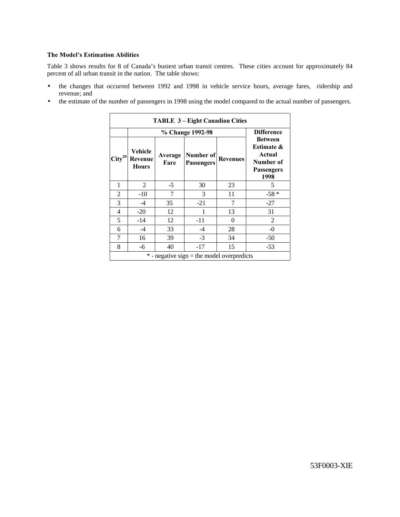## The Model's Estimation Abilities

Table 3 shows results for 8 of Canada's busiest urban transit centres. These cities account for approximately 84 percent of all urban transit in the nation. The table shows:

- the changes that occurred between 1992 and 1998 in vehicle service hours, average fares, ridership and revenue; and
- the estimate of the number of passengers in 1998 using the model compared to the actual number of passengers.

|                               | % Change 1992-98                   |                 |                                |                 | <b>Difference</b>                                                                           |
|-------------------------------|------------------------------------|-----------------|--------------------------------|-----------------|---------------------------------------------------------------------------------------------|
| $\overline{\text{City}}^{20}$ | Vehicle<br>Revenue<br><b>Hours</b> | Average<br>Fare | Number of<br><b>Passengers</b> | <b>Revenues</b> | <b>Between</b><br><b>Estimate &amp;</b><br>Actual<br>Number of<br><b>Passengers</b><br>1998 |
| 1                             | 2                                  | $-5$            | 30                             | 23              | 5                                                                                           |
| $\overline{c}$                | $-10$                              | $\overline{7}$  | 3                              | 11              | $-58*$                                                                                      |
| 3                             | $-4$                               | 35              | $-21$                          | 7               | $-27$                                                                                       |
| 4                             | $-20$                              | 12              |                                | 13              | 31                                                                                          |
| 5                             | $-14$                              | 12              | $-11$                          | 0               | $\mathfrak{D}$                                                                              |
| 6                             | $-4$                               | 33              | $-4$                           | 28              | $-0$                                                                                        |
| 7                             | 16                                 | 39              | $-3$                           | 34              | $-50$                                                                                       |
| 8                             | -6                                 | 40              | $-17$                          | 15              | $-53$                                                                                       |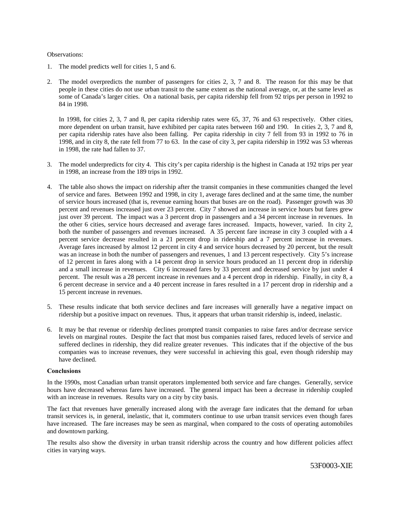#### Observations:

- 1. The model predicts well for cities 1, 5 and 6.
- 2. The model overpredicts the number of passengers for cities 2, 3, 7 and 8. The reason for this may be that people in these cities do not use urban transit to the same extent as the national average, or, at the same level as some of Canada's larger cities. On a national basis, per capita ridership fell from 92 trips per person in 1992 to 84 in 1998.

In 1998, for cities 2, 3, 7 and 8, per capita ridership rates were 65, 37, 76 and 63 respectively. Other cities, more dependent on urban transit, have exhibited per capita rates between 160 and 190. In cities 2, 3, 7 and 8, per capita ridership rates have also been falling. Per capita ridership in city 7 fell from 93 in 1992 to 76 in 1998, and in city 8, the rate fell from 77 to 63. In the case of city 3, per capita ridership in 1992 was 53 whereas in 1998, the rate had fallen to 37.

- 3. The model underpredicts for city 4. This city's per capita ridership is the highest in Canada at 192 trips per year in 1998, an increase from the 189 trips in 1992.
- 4. The table also shows the impact on ridership after the transit companies in these communities changed the level of service and fares. Between 1992 and 1998, in city 1, average fares declined and at the same time, the number of service hours increased (that is, revenue earning hours that buses are on the road). Passenger growth was 30 percent and revenues increased just over 23 percent. City 7 showed an increase in service hours but fares grew just over 39 percent. The impact was a 3 percent drop in passengers and a 34 percent increase in revenues. In the other 6 cities, service hours decreased and average fares increased. Impacts, however, varied. In city 2, both the number of passengers and revenues increased. A 35 percent fare increase in city 3 coupled with a 4 percent service decrease resulted in a 21 percent drop in ridership and a 7 percent increase in revenues. Average fares increased by almost 12 percent in city 4 and service hours decreased by 20 percent, but the result was an increase in both the number of passengers and revenues, 1 and 13 percent respectively. City 5's increase of 12 percent in fares along with a 14 percent drop in service hours produced an 11 percent drop in ridership and a small increase in revenues. City 6 increased fares by 33 percent and decreased service by just under 4 percent. The result was a 28 percent increase in revenues and a 4 percent drop in ridership. Finally, in city 8, a 6 percent decrease in service and a 40 percent increase in fares resulted in a 17 percent drop in ridership and a 15 percent increase in revenues.
- 5. These results indicate that both service declines and fare increases will generally have a negative impact on ridership but a positive impact on revenues. Thus, it appears that urban transit ridership is, indeed, inelastic.
- 6. It may be that revenue or ridership declines prompted transit companies to raise fares and/or decrease service levels on marginal routes. Despite the fact that most bus companies raised fares, reduced levels of service and suffered declines in ridership, they did realize greater revenues. This indicates that if the objective of the bus companies was to increase revenues, they were successful in achieving this goal, even though ridership may have declined.

### Conclusions

In the 1990s, most Canadian urban transit operators implemented both service and fare changes. Generally, service hours have decreased whereas fares have increased. The general impact has been a decrease in ridership coupled with an increase in revenues. Results vary on a city by city basis.

The fact that revenues have generally increased along with the average fare indicates that the demand for urban transit services is, in general, inelastic, that it, commuters continue to use urban transit services even though fares have increased. The fare increases may be seen as marginal, when compared to the costs of operating automobiles and downtown parking.

The results also show the diversity in urban transit ridership across the country and how different policies affect cities in varying ways.